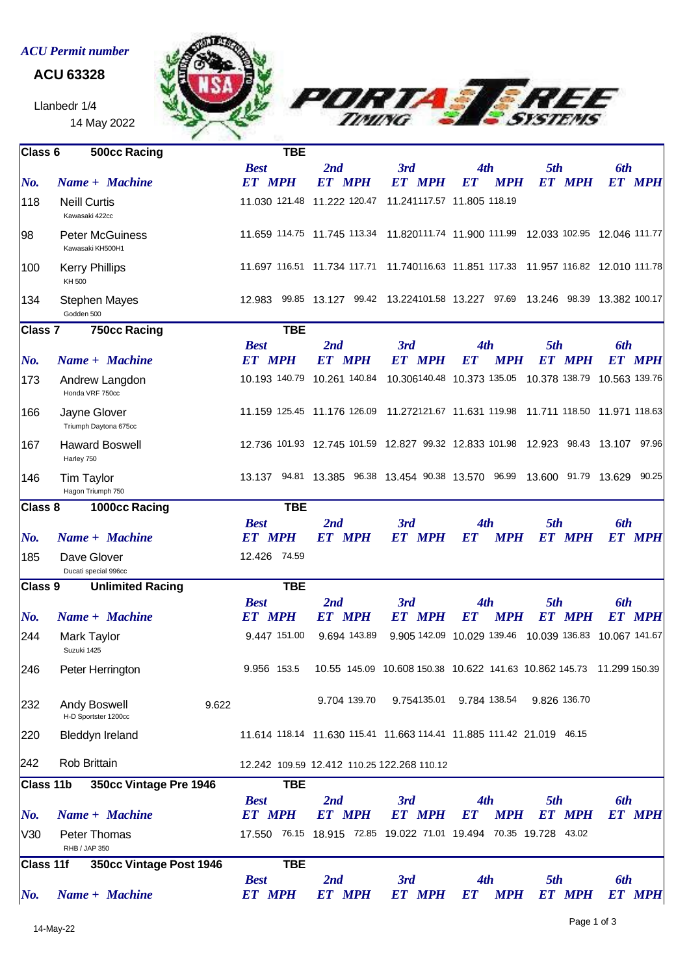## *ACU Permit number*

## **ACU 63328**

Llanbedr 1/4 14 May 2022





| Class 6                                    | <b>500cc Racing</b>                        |       | <b>TBE</b>                                 |                                                        |                      |                                                                           |                                                                                    |                             |
|--------------------------------------------|--------------------------------------------|-------|--------------------------------------------|--------------------------------------------------------|----------------------|---------------------------------------------------------------------------|------------------------------------------------------------------------------------|-----------------------------|
|                                            |                                            |       | <b>Best</b>                                | 2nd                                                    | 3rd                  | 4th                                                                       | 5th                                                                                | <b>6th</b>                  |
| No.                                        | Name + Machine                             |       | <b>ET MPH</b>                              | <b>ET MPH</b>                                          | <b>ET MPH</b>        | <b>MPH</b><br>ET                                                          | <b>ET MPH</b>                                                                      | <b>ET MPH</b>               |
| 118                                        | <b>Neill Curtis</b><br>Kawasaki 422cc      |       |                                            | 11.030 121.48 11.222 120.47 11.241117.57 11.805 118.19 |                      |                                                                           |                                                                                    |                             |
| 98                                         | <b>Peter McGuiness</b><br>Kawasaki KH500H1 |       |                                            |                                                        |                      |                                                                           | 11.659 114.75 11.745 113.34 11.820111.74 11.900 111.99 12.033 102.95 12.046 111.77 |                             |
| 100                                        | <b>Kerry Phillips</b><br>KH 500            |       |                                            |                                                        |                      |                                                                           | 11.697 116.51 11.734 117.71 11.740116.63 11.851 117.33 11.957 116.82 12.010 111.78 |                             |
| 134                                        | <b>Stephen Mayes</b><br>Godden 500         |       |                                            |                                                        |                      |                                                                           | 12.983 99.85 13.127 99.42 13.224101.58 13.227 97.69 13.246 98.39 13.382 100.17     |                             |
| 750cc Racing<br>Class 7                    |                                            |       | <b>TBE</b>                                 |                                                        |                      |                                                                           |                                                                                    |                             |
|                                            |                                            |       | <b>Best</b>                                | 2nd                                                    | 3rd                  | 4th                                                                       | 5th                                                                                | 6th                         |
| $N$ o.                                     | Name + Machine                             |       | <b>ET MPH</b>                              | <b>ET MPH</b>                                          | <b>ET MPH</b>        | <b>MPH</b><br><b>ET</b>                                                   | <b>ET MPH</b>                                                                      | <b>ET MPH</b>               |
| 173                                        | Andrew Langdon<br>Honda VRF 750cc          |       |                                            | 10.193 140.79 10.261 140.84                            |                      |                                                                           | 10.306140.48 10.373 135.05 10.378 138.79 10.563 139.76                             |                             |
| 166                                        | Jayne Glover<br>Triumph Daytona 675cc      |       |                                            |                                                        |                      |                                                                           | 11.159 125.45 11.176 126.09 11.272121.67 11.631 119.98 11.711 118.50 11.971 118.63 |                             |
| 167                                        | <b>Haward Boswell</b><br>Harley 750        |       |                                            |                                                        |                      |                                                                           | 12.736 101.93 12.745 101.59 12.827 99.32 12.833 101.98 12.923 98.43 13.107 97.96   |                             |
| 146                                        | Tim Taylor<br>Hagon Triumph 750            |       |                                            |                                                        |                      |                                                                           | 13.137 94.81 13.385 96.38 13.454 90.38 13.570 96.99 13.600 91.79 13.629 90.25      |                             |
| Class 8                                    | 1000cc Racing                              |       | <b>TBE</b>                                 |                                                        |                      |                                                                           |                                                                                    |                             |
|                                            |                                            |       | <b>Best</b>                                | 2nd                                                    | 3rd                  | 4th                                                                       | 5th                                                                                | 6th                         |
| No.                                        | Name + Machine                             |       | <b>ET MPH</b>                              | <b>ET MPH</b>                                          | <b>ET MPH</b>        | <b>MPH</b><br><b>ET</b>                                                   | <b>ET MPH</b>                                                                      | <b>ET MPH</b>               |
| 185                                        | Dave Glover                                |       | 12.426 74.59                               |                                                        |                      |                                                                           |                                                                                    |                             |
|                                            | Ducati special 996cc                       |       |                                            |                                                        |                      |                                                                           |                                                                                    |                             |
|                                            | <b>Unlimited Racing</b><br>Class 9         |       | <b>TBE</b>                                 |                                                        |                      |                                                                           |                                                                                    |                             |
| $N$ o.                                     | Name + Machine                             |       | <b>Best</b><br><b>ET MPH</b>               | 2nd<br><b>ET MPH</b>                                   | 3rd<br><b>ET MPH</b> | 4th<br><b>MPH</b><br><b>ET</b>                                            | 5th<br><b>ET MPH</b>                                                               | 6th<br><b>ET MPH</b>        |
| 244                                        | Mark Taylor<br>Suzuki 1425                 |       | 9.447 151.00                               | 9.694 143.89                                           |                      |                                                                           | 9.905 142.09 10.029 139.46 10.039 136.83 10.067 141.67                             |                             |
| 246                                        | Peter Herrington                           |       | 9.956 153.5                                |                                                        |                      |                                                                           | 10.55 145.09 10.608 150.38 10.622 141.63 10.862 145.73 11.299 150.39               |                             |
| 232                                        | Andy Boswell<br>H-D Sportster 1200cc       | 9.622 |                                            | 9.704 139.70                                           |                      | 9.754135.01 9.784 138.54 9.826 136.70                                     |                                                                                    |                             |
| 220                                        | <b>Bleddyn Ireland</b>                     |       |                                            |                                                        |                      | 11.614 118.14 11.630 115.41 11.663 114.41 11.885 111.42 21.019 46.15      |                                                                                    |                             |
| 242                                        | Rob Brittain                               |       |                                            | 12.242 109.59 12.412 110.25 122.268 110.12             |                      |                                                                           |                                                                                    |                             |
| <b>Class 11b</b><br>350cc Vintage Pre 1946 |                                            |       | <b>TBE</b>                                 |                                                        |                      |                                                                           |                                                                                    |                             |
| No.                                        | Name + Machine                             |       | <b>Best</b><br><b>ET MPH</b>               | 2nd<br><b>ET MPH</b>                                   | 3rd<br><b>ET MPH</b> | 4th<br><b>MPH</b><br><b>ET</b>                                            | 5th<br><b>ET MPH</b>                                                               | <b>6th</b><br><b>ET MPH</b> |
| V30                                        | Peter Thomas                               |       |                                            |                                                        |                      | 17.550  76.15  18.915  72.85  19.022  71.01  19.494  70.35  19.728  43.02 |                                                                                    |                             |
|                                            | RHB / JAP 350                              |       |                                            |                                                        |                      |                                                                           |                                                                                    |                             |
| Class 11f<br>$\bm{No}$ .                   | 350cc Vintage Post 1946<br>Name + Machine  |       | <b>TBE</b><br><b>Best</b><br><b>ET MPH</b> | 2nd<br><b>ET MPH</b>                                   | 3rd<br><b>ET MPH</b> | 4th<br><b>MPH</b><br><b>ET</b>                                            | 5th<br><b>ET MPH</b>                                                               | <b>6th</b><br><b>ET MPH</b> |
|                                            |                                            |       |                                            |                                                        |                      |                                                                           |                                                                                    |                             |